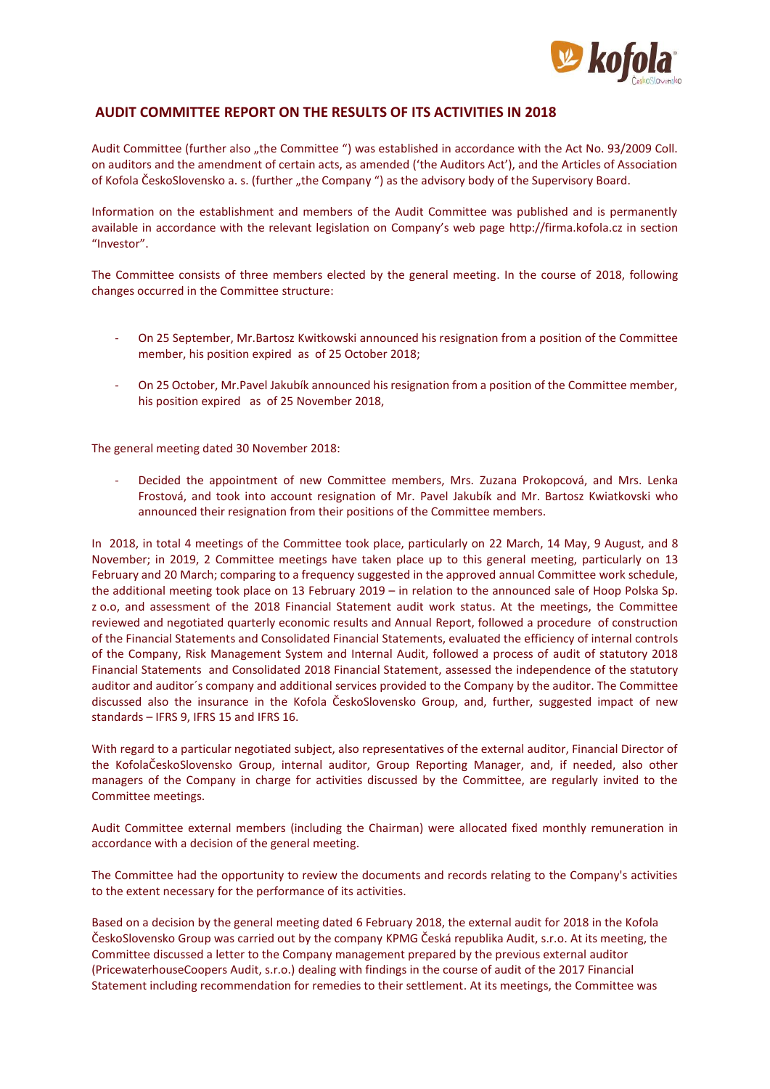

## **AUDIT COMMITTEE REPORT ON THE RESULTS OF ITS ACTIVITIES IN 2018**

Audit Committee (further also "the Committee ") was established in accordance with the Act No. 93/2009 Coll. on auditors and the amendment of certain acts, as amended ('the Auditors Act'), and the Articles of Association of Kofola ČeskoSlovensko a. s. (further "the Company ") as the advisory body of the Supervisory Board.

Information on the establishment and members of the Audit Committee was published and is permanently available in accordance with the relevant legislation on Company's web page [http://firma.kofola.cz](http://firma.kofola.cz/) in section "Investor".

The Committee consists of three members elected by the general meeting. In the course of 2018, following changes occurred in the Committee structure:

- On 25 September, Mr.Bartosz Kwitkowski announced his resignation from a position of the Committee member, his position expired as of 25 October 2018;
- On 25 October, Mr.Pavel Jakubík announced his resignation from a position of the Committee member, his position expired as of 25 November 2018,

The general meeting dated 30 November 2018:

- Decided the appointment of new Committee members, Mrs. Zuzana Prokopcová, and Mrs. Lenka Frostová, and took into account resignation of Mr. Pavel Jakubík and Mr. Bartosz Kwiatkovski who announced their resignation from their positions of the Committee members.

In 2018, in total 4 meetings of the Committee took place, particularly on 22 March, 14 May, 9 August, and 8 November; in 2019, 2 Committee meetings have taken place up to this general meeting, particularly on 13 February and 20 March; comparing to a frequency suggested in the approved annual Committee work schedule, the additional meeting took place on 13 February 2019 – in relation to the announced sale of Hoop Polska Sp. z o.o, and assessment of the 2018 Financial Statement audit work status. At the meetings, the Committee reviewed and negotiated quarterly economic results and Annual Report, followed a procedure of construction of the Financial Statements and Consolidated Financial Statements, evaluated the efficiency of internal controls of the Company, Risk Management System and Internal Audit, followed a process of audit of statutory 2018 Financial Statements and Consolidated 2018 Financial Statement, assessed the independence of the statutory auditor and auditor´s company and additional services provided to the Company by the auditor. The Committee discussed also the insurance in the Kofola ČeskoSlovensko Group, and, further, suggested impact of new standards – IFRS 9, IFRS 15 and IFRS 16.

With regard to a particular negotiated subject, also representatives of the external auditor, Financial Director of the KofolaČeskoSlovensko Group, internal auditor, Group Reporting Manager, and, if needed, also other managers of the Company in charge for activities discussed by the Committee, are regularly invited to the Committee meetings.

Audit Committee external members (including the Chairman) were allocated fixed monthly remuneration in accordance with a decision of the general meeting.

The Committee had the opportunity to review the documents and records relating to the Company's activities to the extent necessary for the performance of its activities.

Based on a decision by the general meeting dated 6 February 2018, the external audit for 2018 in the Kofola ČeskoSlovensko Group was carried out by the company KPMG Česká republika Audit, s.r.o. At its meeting, the Committee discussed a letter to the Company management prepared by the previous external auditor (PricewaterhouseCoopers Audit, s.r.o.) dealing with findings in the course of audit of the 2017 Financial Statement including recommendation for remedies to their settlement. At its meetings, the Committee was